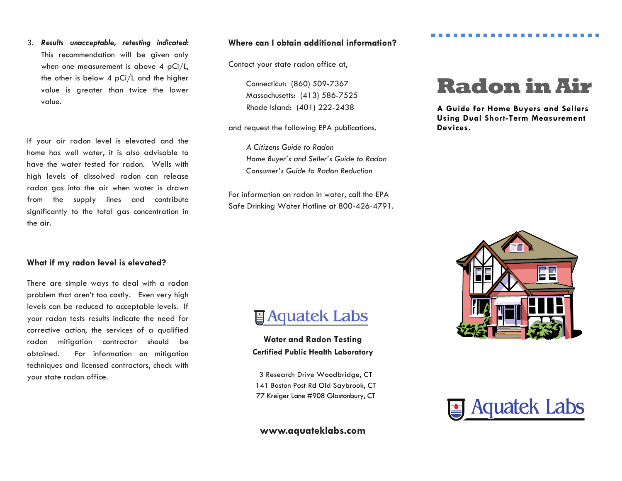3. *Results unacceptable, retesting indicated:*  This recommendation will be given only when one measurement is above 4 pCi/L, the other is below 4 pCi/L and the higher value is greater than twice the lower value.

If your air radon level is elevated and the home has well water, it is also advisable to have the water tested for radon. Wells with high levels of dissolved radon can release radon gas into the air when water is drawn from the supply lines and contribute significantly to the total gas concentration in the air.

#### **What if my radon level is elevated?**

There are simple ways to deal with a radon problem that aren't too costly. Even very high levels can be reduced to acceptable levels. If your radon tests results indicate the need for corrective action, the services of a qualified radon mitigation contractor should be obtained. For information on mitigation techniques and licensed contractors, check with your state radon office.

#### **Where can I obtain additional information?**

Contact your state radon office at,

 Connecticut: (860) 509-7367 Massachusetts: (413) 586-7525 Rhode Island: (401) 222-2438

and request the following EPA publications.

*A Citizens Guide to Radon Home Buyer's and Seller's Guide to Radon Consumer's Guide to Radon Reduction* 

For information on radon in water, call the EPA Safe Drinking Water Hotline at 800-426-4791.

# **Radon in Air**

**A Guide for Home Buyers and Sellers Using Dual Short-Term Measurement Devices.** 



# **Taquatek Labs**

**Water and Radon Testing Certified Public Health Laboratory** 

3 Research Drive Woodbridge, CT 141 Boston Post Rd Old Saybrook, CT 77 Kreiger Lane #908 Glastonbury, CT

### **www.aquateklabs.com**